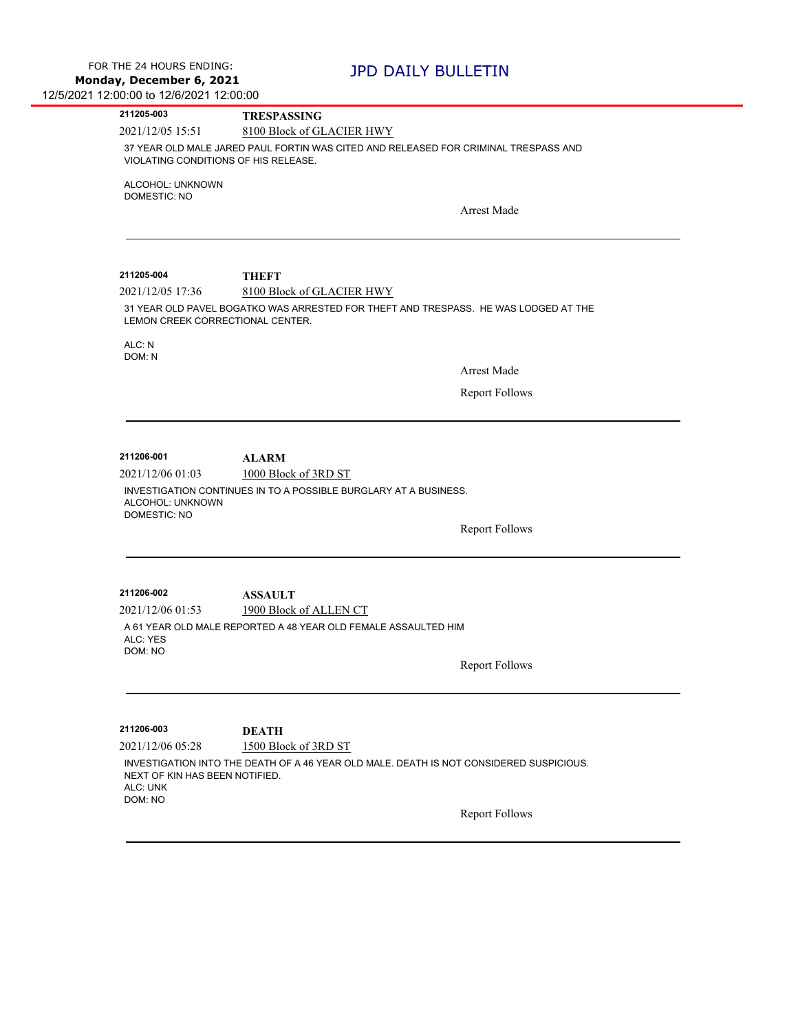| 211205-003                           | <b>TRESPASSING</b>                                                                      |
|--------------------------------------|-----------------------------------------------------------------------------------------|
| 2021/12/05 15:51                     | 8100 Block of GLACIER HWY                                                               |
| VIOLATING CONDITIONS OF HIS RELEASE. | 37 YEAR OLD MALE JARED PAUL FORTIN WAS CITED AND RELEASED FOR CRIMINAL TRESPASS AND     |
| ALCOHOL: UNKNOWN                     |                                                                                         |
| <b>DOMESTIC: NO</b>                  |                                                                                         |
|                                      | <b>Arrest Made</b>                                                                      |
|                                      |                                                                                         |
| 211205-004                           | <b>THEFT</b>                                                                            |
| 2021/12/05 17:36                     | 8100 Block of GLACIER HWY                                                               |
| LEMON CREEK CORRECTIONAL CENTER.     | 31 YEAR OLD PAVEL BOGATKO WAS ARRESTED FOR THEFT AND TRESPASS. HE WAS LODGED AT THE     |
| ALC: N<br>DOM: N                     |                                                                                         |
|                                      | <b>Arrest Made</b>                                                                      |
|                                      | <b>Report Follows</b>                                                                   |
|                                      |                                                                                         |
| 211206-001                           |                                                                                         |
| 2021/12/06 01:03                     | <b>ALARM</b><br>1000 Block of 3RD ST                                                    |
| ALCOHOL: UNKNOWN                     | INVESTIGATION CONTINUES IN TO A POSSIBLE BURGLARY AT A BUSINESS.                        |
| <b>DOMESTIC: NO</b>                  | <b>Report Follows</b>                                                                   |
|                                      |                                                                                         |
| 211206-002                           | <b>ASSAULT</b>                                                                          |
| 2021/12/06 01:53                     | 1900 Block of ALLEN CT                                                                  |
| ALC: YES<br>DOM: NO                  | A 61 YEAR OLD MALE REPORTED A 48 YEAR OLD FEMALE ASSAULTED HIM                          |
|                                      | <b>Report Follows</b>                                                                   |
|                                      |                                                                                         |
| 211206-003                           | <b>DEATH</b>                                                                            |
| 2021/12/06 05:28                     | 1500 Block of 3RD ST                                                                    |
| NEXT OF KIN HAS BEEN NOTIFIED.       | INVESTIGATION INTO THE DEATH OF A 46 YEAR OLD MALE. DEATH IS NOT CONSIDERED SUSPICIOUS. |
| ALC: UNK<br>DOM: NO                  |                                                                                         |
|                                      | <b>Report Follows</b>                                                                   |
|                                      |                                                                                         |